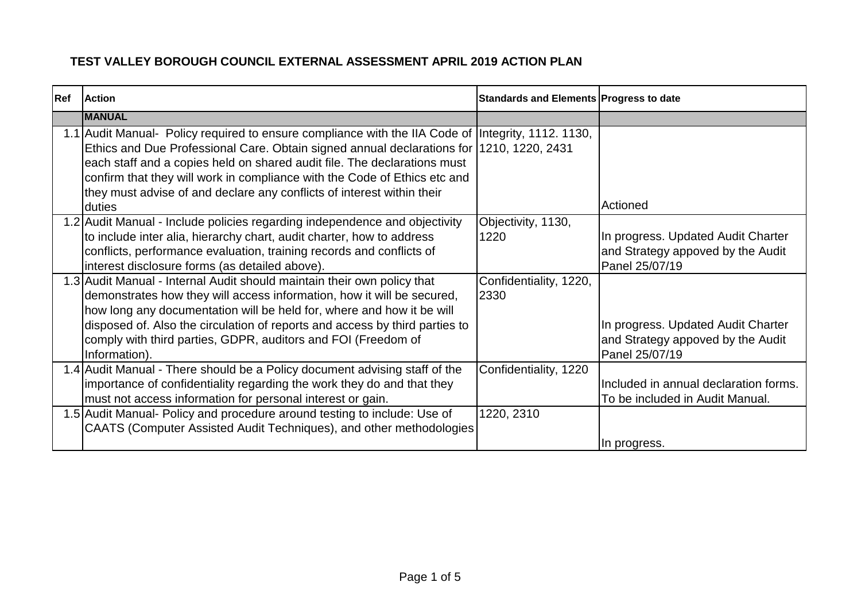| <b>Ref</b> | <b>Action</b>                                                                                      | Standards and Elements Progress to date |                                       |
|------------|----------------------------------------------------------------------------------------------------|-----------------------------------------|---------------------------------------|
|            | <b>MANUAL</b>                                                                                      |                                         |                                       |
|            | 1.1 Audit Manual- Policy required to ensure compliance with the IIA Code of Integrity, 1112. 1130, |                                         |                                       |
|            | Ethics and Due Professional Care. Obtain signed annual declarations for 1210, 1220, 2431           |                                         |                                       |
|            | each staff and a copies held on shared audit file. The declarations must                           |                                         |                                       |
|            | confirm that they will work in compliance with the Code of Ethics etc and                          |                                         |                                       |
|            | they must advise of and declare any conflicts of interest within their                             |                                         |                                       |
|            | duties                                                                                             |                                         | Actioned                              |
|            | 1.2 Audit Manual - Include policies regarding independence and objectivity                         | Objectivity, 1130,                      |                                       |
|            | to include inter alia, hierarchy chart, audit charter, how to address                              | 1220                                    | In progress. Updated Audit Charter    |
|            | conflicts, performance evaluation, training records and conflicts of                               |                                         | and Strategy appoved by the Audit     |
|            | interest disclosure forms (as detailed above).                                                     |                                         | Panel 25/07/19                        |
|            | 1.3 Audit Manual - Internal Audit should maintain their own policy that                            | Confidentiality, 1220,                  |                                       |
|            | demonstrates how they will access information, how it will be secured,                             | 2330                                    |                                       |
|            | how long any documentation will be held for, where and how it be will                              |                                         |                                       |
|            | disposed of. Also the circulation of reports and access by third parties to                        |                                         | In progress. Updated Audit Charter    |
|            | comply with third parties, GDPR, auditors and FOI (Freedom of                                      |                                         | and Strategy appoved by the Audit     |
|            | Information).                                                                                      |                                         | Panel 25/07/19                        |
|            | 1.4 Audit Manual - There should be a Policy document advising staff of the                         | Confidentiality, 1220                   |                                       |
|            | importance of confidentiality regarding the work they do and that they                             |                                         | Included in annual declaration forms. |
|            | must not access information for personal interest or gain.                                         |                                         | To be included in Audit Manual.       |
|            | 1.5 Audit Manual- Policy and procedure around testing to include: Use of                           | 1220, 2310                              |                                       |
|            | CAATS (Computer Assisted Audit Techniques), and other methodologies                                |                                         |                                       |
|            |                                                                                                    |                                         | In progress.                          |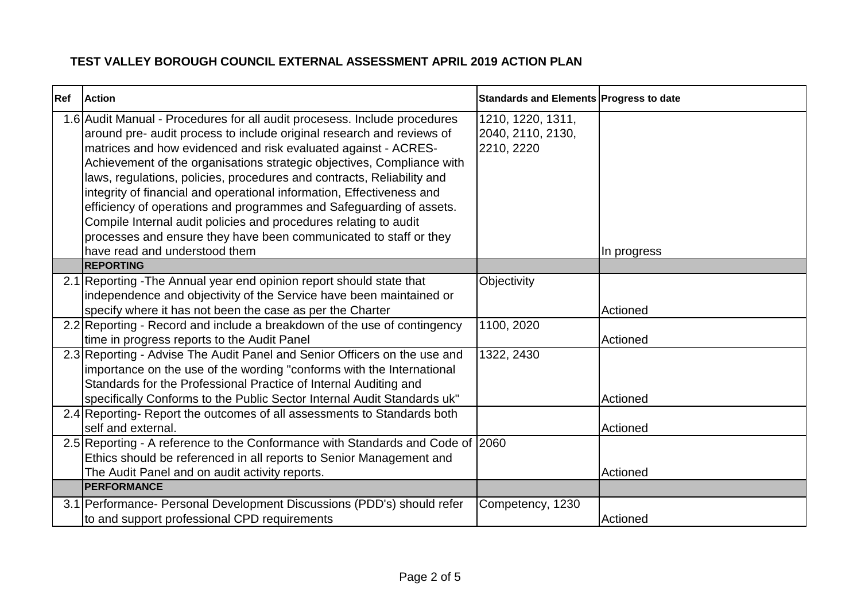| Ref | <b>Action</b>                                                                                                                                                                                                                                 | Standards and Elements Progress to date              |             |
|-----|-----------------------------------------------------------------------------------------------------------------------------------------------------------------------------------------------------------------------------------------------|------------------------------------------------------|-------------|
|     | 1.6 Audit Manual - Procedures for all audit procesess. Include procedures<br>around pre- audit process to include original research and reviews of<br>matrices and how evidenced and risk evaluated against - ACRES-                          | 1210, 1220, 1311,<br>2040, 2110, 2130,<br>2210, 2220 |             |
|     | Achievement of the organisations strategic objectives, Compliance with<br>laws, regulations, policies, procedures and contracts, Reliability and<br>integrity of financial and operational information, Effectiveness and                     |                                                      |             |
|     | efficiency of operations and programmes and Safeguarding of assets.<br>Compile Internal audit policies and procedures relating to audit<br>processes and ensure they have been communicated to staff or they<br>have read and understood them |                                                      | In progress |
|     | <b>REPORTING</b>                                                                                                                                                                                                                              |                                                      |             |
|     | 2.1 Reporting - The Annual year end opinion report should state that<br>independence and objectivity of the Service have been maintained or                                                                                                   | Objectivity                                          |             |
|     | specify where it has not been the case as per the Charter                                                                                                                                                                                     |                                                      | Actioned    |
|     | 2.2 Reporting - Record and include a breakdown of the use of contingency<br>time in progress reports to the Audit Panel                                                                                                                       | 1100, 2020                                           | Actioned    |
|     | 2.3 Reporting - Advise The Audit Panel and Senior Officers on the use and<br>importance on the use of the wording "conforms with the International<br>Standards for the Professional Practice of Internal Auditing and                        | 1322, 2430                                           |             |
|     | specifically Conforms to the Public Sector Internal Audit Standards uk"                                                                                                                                                                       |                                                      | Actioned    |
|     | 2.4 Reporting-Report the outcomes of all assessments to Standards both<br>self and external.                                                                                                                                                  |                                                      | Actioned    |
|     | 2.5 Reporting - A reference to the Conformance with Standards and Code of 2060<br>Ethics should be referenced in all reports to Senior Management and                                                                                         |                                                      |             |
|     | The Audit Panel and on audit activity reports.<br><b>PERFORMANCE</b>                                                                                                                                                                          |                                                      | Actioned    |
|     |                                                                                                                                                                                                                                               |                                                      |             |
|     | 3.1 Performance- Personal Development Discussions (PDD's) should refer<br>to and support professional CPD requirements                                                                                                                        | Competency, 1230                                     | Actioned    |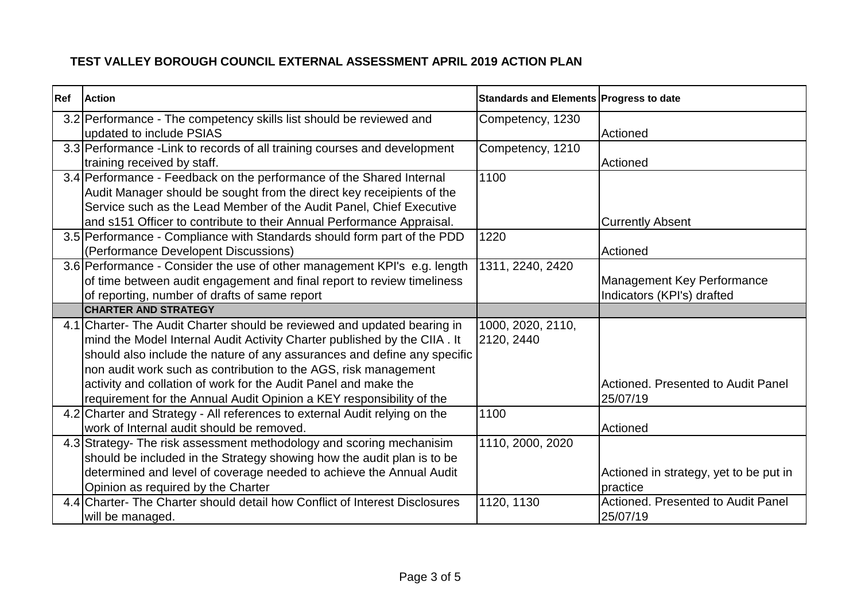| <b>Ref</b> | <b>Action</b>                                                               | Standards and Elements Progress to date |                                           |
|------------|-----------------------------------------------------------------------------|-----------------------------------------|-------------------------------------------|
|            | 3.2 Performance - The competency skills list should be reviewed and         | Competency, 1230                        |                                           |
|            | updated to include PSIAS                                                    |                                         | Actioned                                  |
|            | 3.3 Performance - Link to records of all training courses and development   | Competency, 1210                        |                                           |
|            | training received by staff.                                                 |                                         | Actioned                                  |
|            | 3.4 Performance - Feedback on the performance of the Shared Internal        | 1100                                    |                                           |
|            | Audit Manager should be sought from the direct key receipients of the       |                                         |                                           |
|            | Service such as the Lead Member of the Audit Panel, Chief Executive         |                                         |                                           |
|            | and s151 Officer to contribute to their Annual Performance Appraisal.       |                                         | <b>Currently Absent</b>                   |
|            | 3.5 Performance - Compliance with Standards should form part of the PDD     | 1220                                    |                                           |
|            | (Performance Developent Discussions)                                        |                                         | Actioned                                  |
|            | 3.6 Performance - Consider the use of other management KPI's e.g. length    | 1311, 2240, 2420                        |                                           |
|            | of time between audit engagement and final report to review timeliness      |                                         | <b>Management Key Performance</b>         |
|            | of reporting, number of drafts of same report                               |                                         | Indicators (KPI's) drafted                |
|            | <b>CHARTER AND STRATEGY</b>                                                 |                                         |                                           |
|            | 4.1 Charter- The Audit Charter should be reviewed and updated bearing in    | 1000, 2020, 2110,                       |                                           |
|            | mind the Model Internal Audit Activity Charter published by the CIIA. It    | 2120, 2440                              |                                           |
|            | should also include the nature of any assurances and define any specific    |                                         |                                           |
|            | non audit work such as contribution to the AGS, risk management             |                                         |                                           |
|            | activity and collation of work for the Audit Panel and make the             |                                         | <b>Actioned. Presented to Audit Panel</b> |
|            | requirement for the Annual Audit Opinion a KEY responsibility of the        |                                         | 25/07/19                                  |
|            | 4.2 Charter and Strategy - All references to external Audit relying on the  | 1100                                    |                                           |
|            | work of Internal audit should be removed.                                   |                                         | Actioned                                  |
|            | 4.3 Strategy- The risk assessment methodology and scoring mechanisim        | 1110, 2000, 2020                        |                                           |
|            | should be included in the Strategy showing how the audit plan is to be      |                                         |                                           |
|            | determined and level of coverage needed to achieve the Annual Audit         |                                         | Actioned in strategy, yet to be put in    |
|            | Opinion as required by the Charter                                          |                                         | practice                                  |
|            | 4.4 Charter- The Charter should detail how Conflict of Interest Disclosures | 1120, 1130                              | Actioned. Presented to Audit Panel        |
|            | will be managed.                                                            |                                         | 25/07/19                                  |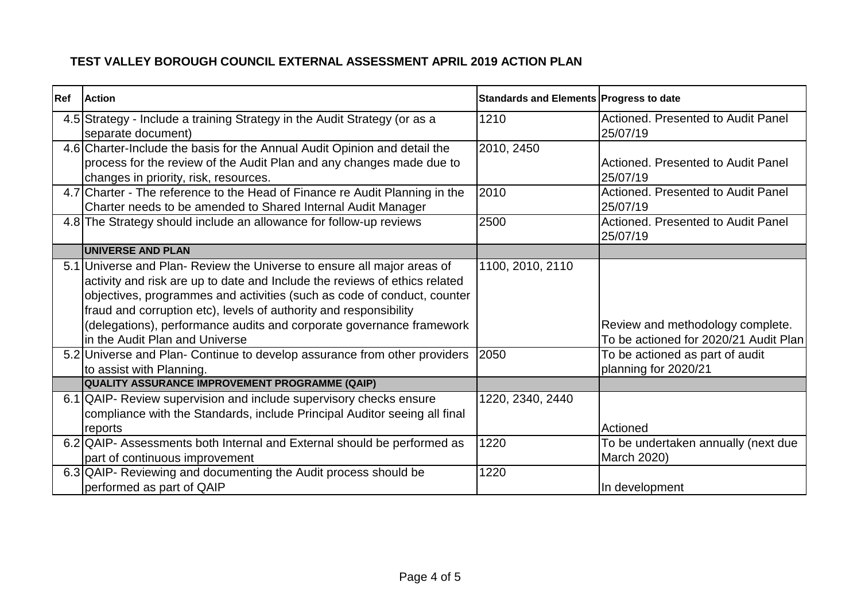| Ref | <b>Action</b>                                                                                   | Standards and Elements Progress to date |                                                |
|-----|-------------------------------------------------------------------------------------------------|-----------------------------------------|------------------------------------------------|
|     | 4.5 Strategy - Include a training Strategy in the Audit Strategy (or as a<br>separate document) | 1210                                    | Actioned. Presented to Audit Panel<br>25/07/19 |
|     | 4.6 Charter-Include the basis for the Annual Audit Opinion and detail the                       | 2010, 2450                              |                                                |
|     | process for the review of the Audit Plan and any changes made due to                            |                                         | Actioned. Presented to Audit Panel             |
|     | changes in priority, risk, resources.                                                           |                                         | 25/07/19                                       |
|     | 4.7 Charter - The reference to the Head of Finance re Audit Planning in the                     | 2010                                    | Actioned. Presented to Audit Panel             |
|     | Charter needs to be amended to Shared Internal Audit Manager                                    |                                         | 25/07/19                                       |
|     | 4.8 The Strategy should include an allowance for follow-up reviews                              | 2500                                    | Actioned. Presented to Audit Panel<br>25/07/19 |
|     | <b>UNIVERSE AND PLAN</b>                                                                        |                                         |                                                |
|     | 5.1 Universe and Plan-Review the Universe to ensure all major areas of                          | 1100, 2010, 2110                        |                                                |
|     | activity and risk are up to date and Include the reviews of ethics related                      |                                         |                                                |
|     | objectives, programmes and activities (such as code of conduct, counter                         |                                         |                                                |
|     | fraud and corruption etc), levels of authority and responsibility                               |                                         |                                                |
|     | (delegations), performance audits and corporate governance framework                            |                                         | Review and methodology complete.               |
|     | in the Audit Plan and Universe                                                                  |                                         | To be actioned for 2020/21 Audit Plan          |
|     | 5.2 Universe and Plan- Continue to develop assurance from other providers                       | 2050                                    | To be actioned as part of audit                |
|     | to assist with Planning.                                                                        |                                         | planning for 2020/21                           |
|     | QUALITY ASSURANCE IMPROVEMENT PROGRAMME (QAIP)                                                  |                                         |                                                |
|     | 6.1 QAIP- Review supervision and include supervisory checks ensure                              | 1220, 2340, 2440                        |                                                |
|     | compliance with the Standards, include Principal Auditor seeing all final                       |                                         |                                                |
|     | reports                                                                                         |                                         | Actioned                                       |
|     | 6.2 QAIP- Assessments both Internal and External should be performed as                         | 1220                                    | To be undertaken annually (next due            |
|     | part of continuous improvement                                                                  |                                         | March 2020)                                    |
|     | 6.3 QAIP- Reviewing and documenting the Audit process should be                                 | 1220                                    |                                                |
|     | performed as part of QAIP                                                                       |                                         | In development                                 |